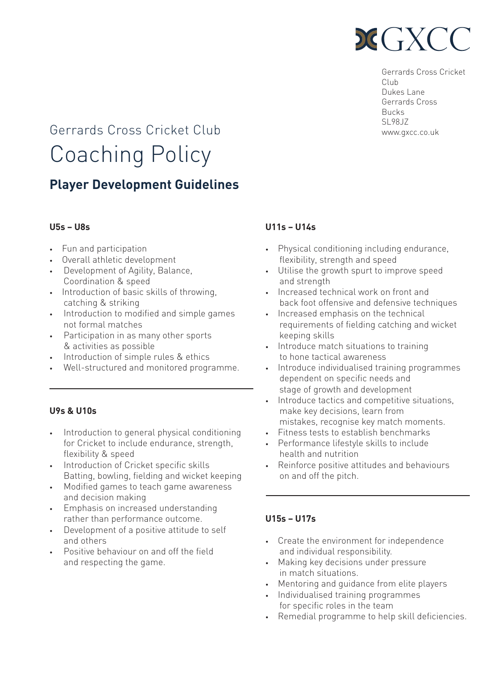

Gerrards Cross Cricket<br>Club<br>Dukes Lane Club Dukes Lane Gerrards Cross Bucks SL98JZ www.gxcc.co.uk

# Gerrards Cross Cricket Club Coaching Policy

# **Player Development Guidelines**

#### **U5s – U8s**

- Fun and participation
- Overall athletic development
- Development of Agility, Balance, Coordination & speed
- Introduction of basic skills of throwing, catching & striking
- Introduction to modified and simple games not formal matches
- Participation in as many other sports & activities as possible
- Introduction of simple rules & ethics
- Well-structured and monitored programme.

#### **U9s & U10s**

- Introduction to general physical conditioning for Cricket to include endurance, strength, flexibility & speed
- Introduction of Cricket specific skills Batting, bowling, fielding and wicket keeping
- Modified games to teach game awareness and decision making
- Emphasis on increased understanding rather than performance outcome.
- Development of a positive attitude to self and others
- Positive behaviour on and off the field and respecting the game.

### **U11s – U14s**

- Physical conditioning including endurance, flexibility, strength and speed
- Utilise the growth spurt to improve speed and strength
- Increased technical work on front and back foot offensive and defensive techniques
- Increased emphasis on the technical requirements of fielding catching and wicket keeping skills
- Introduce match situations to training to hone tactical awareness
- Introduce individualised training programmes dependent on specific needs and stage of growth and development
- Introduce tactics and competitive situations, make key decisions, learn from mistakes, recognise key match moments.
- Fitness tests to establish benchmarks
- Performance lifestyle skills to include health and nutrition
- Reinforce positive attitudes and behaviours on and off the pitch.

#### **U15s – U17s**

- Create the environment for independence and individual responsibility.
- Making key decisions under pressure in match situations.
- Mentoring and guidance from elite players
- Individualised training programmes for specific roles in the team
- Remedial programme to help skill deficiencies.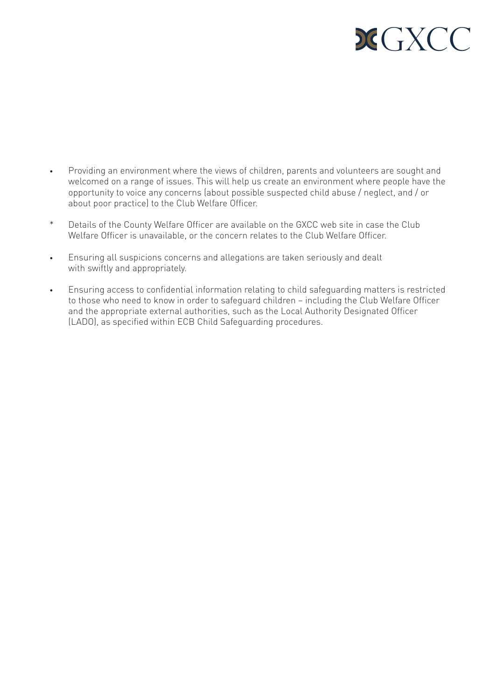

- Providing an environment where the views of children, parents and volunteers are sought and welcomed on a range of issues. This will help us create an environment where people have the opportunity to voice any concerns (about possible suspected child abuse / neglect, and / or about poor practice) to the Club Welfare Officer.
- \* Details of the County Welfare Officer are available on the GXCC web site in case the Club Welfare Officer is unavailable, or the concern relates to the Club Welfare Officer.
- Ensuring all suspicions concerns and allegations are taken seriously and dealt with swiftly and appropriately.
- Ensuring access to confidential information relating to child safeguarding matters is restricted to those who need to know in order to safeguard children – including the Club Welfare Officer and the appropriate external authorities, such as the Local Authority Designated Officer (LADO), as specified within ECB Child Safeguarding procedures.